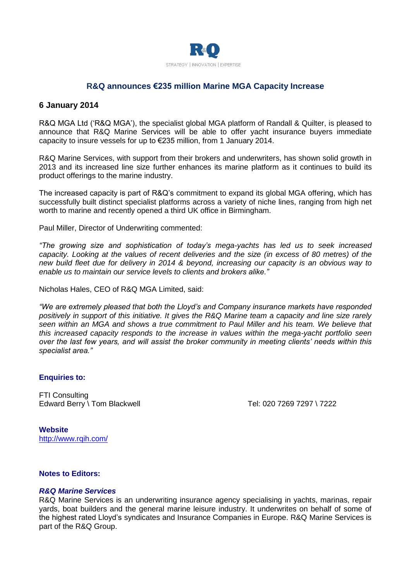

# **R&Q announces €235 million Marine MGA Capacity Increase**

# **6 January 2014**

R&Q MGA Ltd ('R&Q MGA'), the specialist global MGA platform of Randall & Quilter, is pleased to announce that R&Q Marine Services will be able to offer yacht insurance buyers immediate capacity to insure vessels for up to €235 million, from 1 January 2014.

R&Q Marine Services, with support from their brokers and underwriters, has shown solid growth in 2013 and its increased line size further enhances its marine platform as it continues to build its product offerings to the marine industry.

The increased capacity is part of R&Q's commitment to expand its global MGA offering, which has successfully built distinct specialist platforms across a variety of niche lines, ranging from high net worth to marine and recently opened a third UK office in Birmingham.

Paul Miller, Director of Underwriting commented:

*"The growing size and sophistication of today's mega-yachts has led us to seek increased capacity. Looking at the values of recent deliveries and the size (in excess of 80 metres) of the new build fleet due for delivery in 2014 & beyond, increasing our capacity is an obvious way to enable us to maintain our service levels to clients and brokers alike."* 

Nicholas Hales, CEO of R&Q MGA Limited, said:

*"We are extremely pleased that both the Lloyd's and Company insurance markets have responded positively in support of this initiative. It gives the R&Q Marine team a capacity and line size rarely seen within an MGA and shows a true commitment to Paul Miller and his team. We believe that this increased capacity responds to the increase in values within the mega-yacht portfolio seen over the last few years, and will assist the broker community in meeting clients' needs within this specialist area."*

### **Enquiries to:**

FTI Consulting Edward Berry \ Tom Blackwell  $\qquad \qquad$  Tel: 020 7269 7297 \ 7222

**Website** <http://www.rqih.com/>

# **Notes to Editors:**

### *R&Q Marine Services*

R&Q Marine Services is an underwriting insurance agency specialising in yachts, marinas, repair yards, boat builders and the general marine leisure industry. It underwrites on behalf of some of the highest rated Lloyd's syndicates and Insurance Companies in Europe. R&Q Marine Services is part of the R&Q Group.